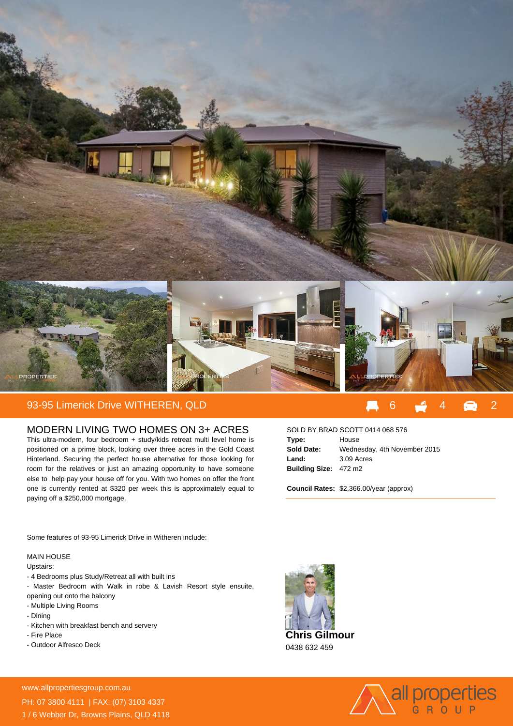

## 93-95 Limerick Drive WITHEREN, QLD 6 4 2

## MODERN LIVING TWO HOMES ON 3+ ACRES

This ultra-modern, four bedroom + study/kids retreat multi level home is positioned on a prime block, looking over three acres in the Gold Coast Hinterland. Securing the perfect house alternative for those looking for room for the relatives or just an amazing opportunity to have someone else to help pay your house off for you. With two homes on offer the front one is currently rented at \$320 per week this is approximately equal to paying off a \$250,000 mortgage.

| SOLD BY BRAD SCOTT 0414 068 576 |                              |
|---------------------------------|------------------------------|
| Type:                           | House                        |
| <b>Sold Date:</b>               | Wednesday, 4th November 2015 |
| Land:                           | 3.09 Acres                   |
| Building Size: 472 m2           |                              |

**Council Rates:** \$2,366.00/year (approx)

Some features of 93-95 Limerick Drive in Witheren include:

## MAIN HOUSE

Upstairs:

- 4 Bedrooms plus Study/Retreat all with built ins
- Master Bedroom with Walk in robe & Lavish Resort style ensuite,
- opening out onto the balcony
- Multiple Living Rooms
- Dining
- Kitchen with breakfast bench and servery
- Fire Place
- Outdoor Alfresco Deck

**For more details please visit**



0438 632 459



www.allpropertiesgroup.com.au/<br>24 A*M Montesgroup.com.au* PH: 07 3800 4111 | FAX: (07) 3103 4337 1 / 6 Webber Dr, Browns Plains, QLD 4118